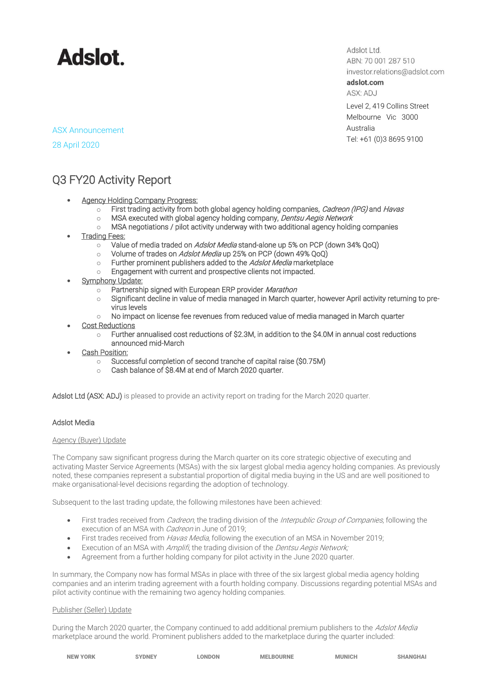

Adslot Ltd. ABN: 70 001 287 510 investor.relations@adslot.com adslot.com ASX: ADJ

Level 2, 419 Collins Street Melbourne Vic 3000 Australia Tel: +61 (0)3 8695 9100

ASX Announcement 28 April 2020

# Q3 FY20 Activity Report

- Agency Holding Company Progress:
	- $\circ$  First trading activity from both global agency holding companies, *Cadreon (IPG)* and *Havas*
	- o MSA executed with global agency holding company, Dentsu Aegis Network
	- $\circ$  MSA negotiations / pilot activity underway with two additional agency holding companies
- **Trading Fees:** 
	- o Value of media traded on Adslot Media stand-alone up 5% on PCP (down 34% QoQ)
	- o Volume of trades on Adslot Media up 25% on PCP (down 49% QoQ)
	- $\circ$  Further prominent publishers added to the *Adslot Media* marketplace
	- o Engagement with current and prospective clients not impacted.
- **Symphony Update:** 
	- o Partnership signed with European ERP provider Marathon
	- o Significant decline in value of media managed in March quarter, however April activity returning to previrus levels
	- $\circ$  No impact on license fee revenues from reduced value of media managed in March quarter
- **Cost Reductions** 
	- o Further annualised cost reductions of \$2.3M, in addition to the \$4.0M in annual cost reductions announced mid-March
- Cash Position:
	- o Successful completion of second tranche of capital raise (\$0.75M)
	- o Cash balance of \$8.4M at end of March 2020 quarter.

Adslot Ltd (ASX: ADJ) is pleased to provide an activity report on trading for the March 2020 quarter.

## Adslot Media

#### Agency (Buyer) Update

The Company saw significant progress during the March quarter on its core strategic objective of executing and activating Master Service Agreements (MSAs) with the six largest global media agency holding companies. As previously noted, these companies represent a substantial proportion of digital media buying in the US and are well positioned to make organisational-level decisions regarding the adoption of technology.

Subsequent to the last trading update, the following milestones have been achieved:

- First trades received from *Cadreon*, the trading division of the *Interpublic Group of Companies*, following the execution of an MSA with *Cadreon* in June of 2019;
- First trades received from *Havas Media*, following the execution of an MSA in November 2019;
- Execution of an MSA with Amplifi, the trading division of the Dentsu Aegis Network;
- Agreement from a further holding company for pilot activity in the June 2020 quarter.

In summary, the Company now has formal MSAs in place with three of the six largest global media agency holding companies and an interim trading agreement with a fourth holding company. Discussions regarding potential MSAs and pilot activity continue with the remaining two agency holding companies.

#### Publisher (Seller) Update

During the March 2020 quarter, the Company continued to add additional premium publishers to the Adslot Media marketplace around the world. Prominent publishers added to the marketplace during the quarter included:

| <b>NEW YORK</b> | <b>`YDNEY</b> | <b>ONDON</b> | <b>MELBOURNE</b> | <b>MUNICH</b> | <b>SHANGHA</b> |
|-----------------|---------------|--------------|------------------|---------------|----------------|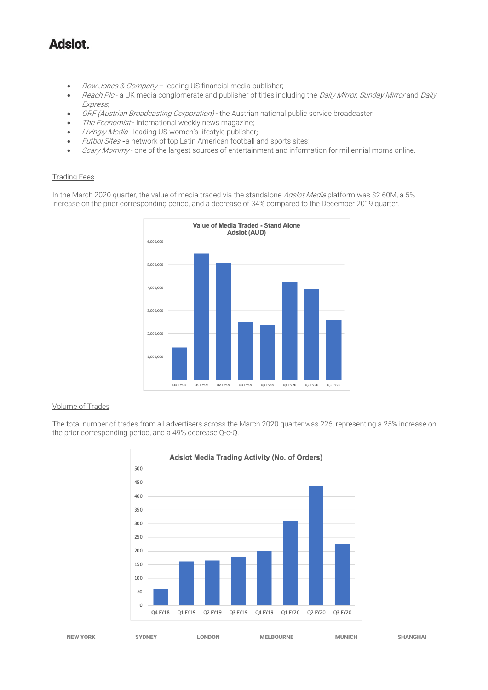# **Adslot**

- Dow Jones & Company leading US financial media publisher;
- Reach Plc a UK media conglomerate and publisher of titles including the Daily Mirror, Sunday Mirror and Daily Express;
- ORF (Austrian Broadcasting Corporation) the Austrian national public service broadcaster;
- The Economist International weekly news magazine;
- Livingly Media leading US women's lifestyle publisher;
- Futbol Sites a network of top Latin American football and sports sites;
- Scary Mommy- one of the largest sources of entertainment and information for millennial moms online.

### Trading Fees

In the March 2020 quarter, the value of media traded via the standalone Adslot Media platform was \$2.60M, a 5% increase on the prior corresponding period, and a decrease of 34% compared to the December 2019 quarter.



#### Volume of Trades

The total number of trades from all advertisers across the March 2020 quarter was 226, representing a 25% increase on the prior corresponding period, and a 49% decrease Q-o-Q.



NEW YORK SYDNEY LONDON MELBOURNE MUNICH SHANGHAI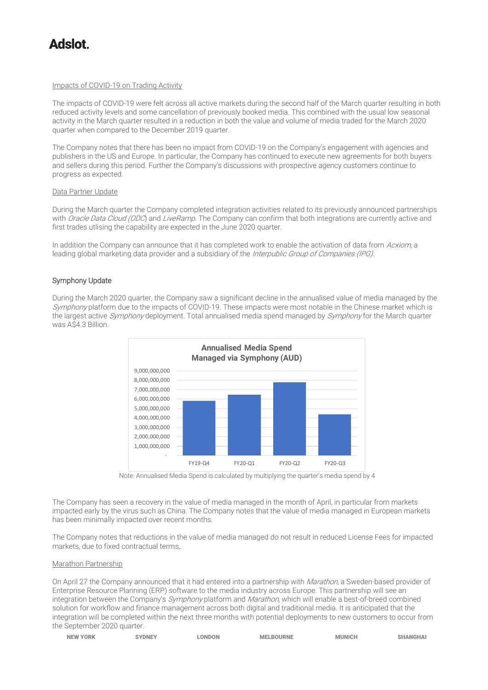# tolehA

### Impacts of COVID-19 on Trading Activity

The impacts of COVID-19 were felt across all active markets during the second half of the March quarter resulting in both reduced activity levels and some cancellation of previously booked media. This combined with the usual low seasonal activity in the March quarter resulted in a reduction in both the value and volume of media traded for the March 2020 quarter when compared to the December 2019 quarter.

The Company notes that there has been no impact from COVID-19 on the Company's engagement with agencies and publishers in the US and Europe. In particular, the Company has continued to execute new agreements for both buyers and sellers during this period. Further the Company's discussions with prospective agency customers continue to progress as expected.

### Data Partner Update

During the March quarter the Company completed integration activities related to its previously announced partnerships with Oracle Data Cloud (ODC) and LiveRamp. The Company can confirm that both integrations are currently active and first trades utlising the capability are expected in the June 2020 quarter.

In addition the Company can announce that it has completed work to enable the activation of data from Acxiom, a leading global marketing data provider and a subsidiary of the Interpublic Group of Companies (IPG).

## Symphony Update

During the March 2020 quarter, the Company saw a significant decline in the annualised value of media managed by the Symphony platform due to the impacts of COVID-19. These impacts were most notable in the Chinese market which is the largest active Symphony deployment. Total annualised media spend managed by Symphony for the March quarter was A\$4.3 Billion.



Note: Annualised Media Spend is calculated by multiplying the quarter's media spend by 4

The Company has seen a recovery in the value of media managed in the month of April, in particular from markets impacted early by the virus such as China. The Company notes that the value of media managed in European markets has been minimally impacted over recent months.

The Company notes that reductions in the value of media managed do not result in reduced License Fees for impacted markets, due to fixed contractual terms,.

#### Marathon Partnership

On April 27 the Company announced that it had entered into a partnership with Marathon, a Sweden-based provider of Enterprise Resource Planning (ERP) software to the media industry across Europe. This partnership will see an integration between the Company's Symphony platform and Marathon, which will enable a best-of-breed combined solution for workflow and finance management across both digital and traditional media. It is anticipated that the integration will be completed within the next three months with potential deployments to new customers to occur from the September 2020 quarter.

| <b>NEW YORK</b> | <b>SYDNEY</b> | <b>LONDON</b> | <b>MELBOURNE</b> | <b>MUNICH</b> | <b>SHANGHAI</b> |
|-----------------|---------------|---------------|------------------|---------------|-----------------|
|                 |               |               |                  |               |                 |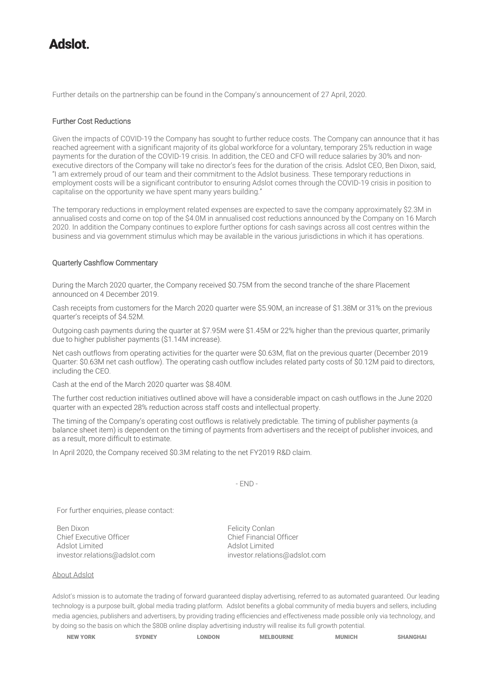# tolehA

Further details on the partnership can be found in the Company's announcement of 27 April, 2020.

### Further Cost Reductions

Given the impacts of COVID-19 the Company has sought to further reduce costs. The Company can announce that it has reached agreement with a significant majority of its global workforce for a voluntary, temporary 25% reduction in wage payments for the duration of the COVID-19 crisis. In addition, the CEO and CFO will reduce salaries by 30% and nonexecutive directors of the Company will take no director's fees for the duration of the crisis. Adslot CEO, Ben Dixon, said, "I am extremely proud of our team and their commitment to the Adslot business. These temporary reductions in employment costs will be a significant contributor to ensuring Adslot comes through the COVID-19 crisis in position to capitalise on the opportunity we have spent many years building."

The temporary reductions in employment related expenses are expected to save the company approximately \$2.3M in annualised costs and come on top of the \$4.0M in annualised cost reductions announced by the Company on 16 March 2020. In addition the Company continues to explore further options for cash savings across all cost centres within the business and via government stimulus which may be available in the various jurisdictions in which it has operations.

### Quarterly Cashflow Commentary

During the March 2020 quarter, the Company received \$0.75M from the second tranche of the share Placement announced on 4 December 2019.

Cash receipts from customers for the March 2020 quarter were \$5.90M, an increase of \$1.38M or 31% on the previous quarter's receipts of \$4.52M.

Outgoing cash payments during the quarter at \$7.95M were \$1.45M or 22% higher than the previous quarter, primarily due to higher publisher payments (\$1.14M increase).

Net cash outflows from operating activities for the quarter were \$0.63M, flat on the previous quarter (December 2019 Quarter: \$0.63M net cash outflow). The operating cash outflow includes related party costs of \$0.12M paid to directors, including the CEO.

Cash at the end of the March 2020 quarter was \$8.40M.

The further cost reduction initiatives outlined above will have a considerable impact on cash outflows in the June 2020 quarter with an expected 28% reduction across staff costs and intellectual property.

The timing of the Company's operating cost outflows is relatively predictable. The timing of publisher payments (a balance sheet item) is dependent on the timing of payments from advertisers and the receipt of publisher invoices, and as a result, more difficult to estimate.

In April 2020, the Company received \$0.3M relating to the net FY2019 R&D claim.

- END -

For further enquiries, please contact:

Ben Dixon<br>Chief Executive Officer<br>Chief Einancial Officer Chief Executive Officer<br>Adslot Limited

Adslot Limited [investor.relations@adslot.com](mailto:info@adslot.com.au) investor.relations@adslot.com

About Adslot

Adslot's mission is to automate the trading of forward guaranteed display advertising, referred to as automated guaranteed. Our leading technology is a purpose built, global media trading platform. Adslot benefits a global community of media buyers and sellers, including media agencies, publishers and advertisers, by providing trading efficiencies and effectiveness made possible only via technology, and by doing so the basis on which the \$80B online display advertising industry will realise its full growth potential.

| <b>NEW YORK</b> | <b>`YDNEY</b> | <b>LONDON</b> | <b>MELBOURNE</b> | <b>MUNICH</b> | <b>SHANGHAI</b> |
|-----------------|---------------|---------------|------------------|---------------|-----------------|
|-----------------|---------------|---------------|------------------|---------------|-----------------|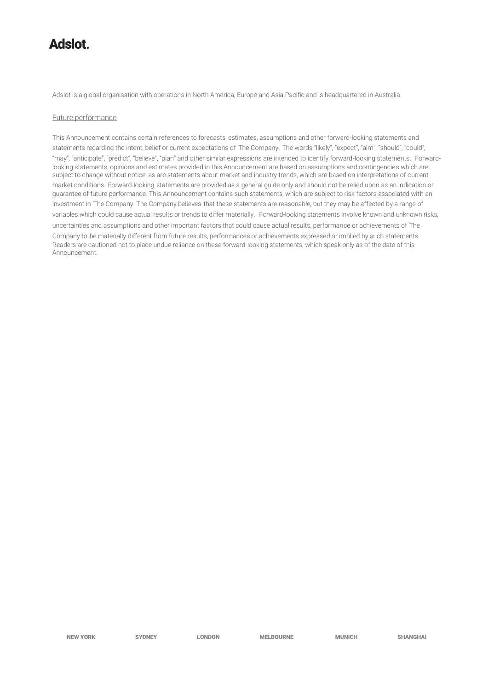# **tolahA**

Adslot is a global organisation with operations in North America, Europe and Asia Pacific and is headquartered in Australia.

#### Future performance

This Announcement contains certain references to forecasts, estimates, assumptions and other forward-looking statements and statements regarding the intent, belief or current expectations of The Company. The words "likely", "expect", "aim", "should", "could", "may", "anticipate", "predict", "believe", "plan" and other similar expressions are intended to identify forward-looking statements. Forwardlooking statements, opinions and estimates provided in this Announcement are based on assumptions and contingencies which are subject to change without notice, as are statements about market and industry trends, which are based on interpretations of current market conditions. Forward-looking statements are provided as a general guide only and should not be relied upon as an indication or guarantee of future performance. This Announcement contains such statements, which are subject to risk factors associated with an investment in The Company. The Company believes that these statements are reasonable, but they may be affected by a range of variables which could cause actual results or trends to differ materially. Forward-looking statements involve known and unknown risks, uncertainties and assumptions and other important factors that could cause actual results, performance or achievements of The Company to be materially different from future results, performances or achievements expressed or implied by such statements. Readers are cautioned not to place undue reliance on these forward-looking statements, which speak only as of the date of this Announcement.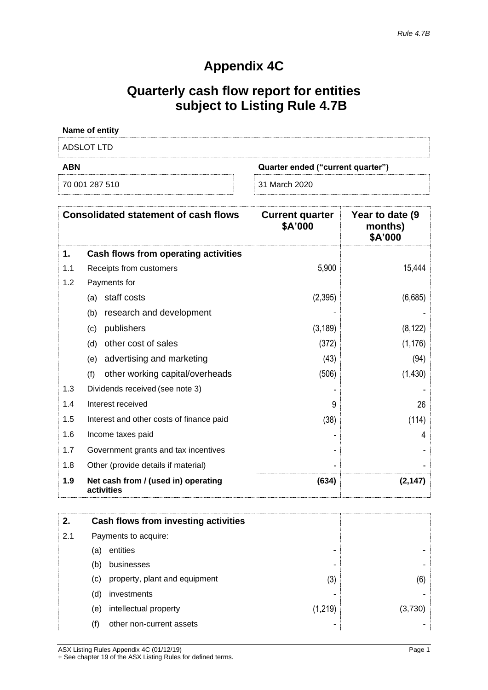# **Appendix 4C**

# **Quarterly cash flow report for entities subject to Listing Rule 4.7B**

| Name of entity |                                   |
|----------------|-----------------------------------|
| ADSLOT LTD     |                                   |
| <b>ABN</b>     | Quarter ended ("current quarter") |
| 70 001 287 510 | 31 March 2020                     |

|     | <b>Consolidated statement of cash flows</b>       | <b>Current quarter</b><br>\$A'000 | Year to date (9)<br>months)<br>\$A'000 |
|-----|---------------------------------------------------|-----------------------------------|----------------------------------------|
| 1.  | Cash flows from operating activities              |                                   |                                        |
| 1.1 | Receipts from customers                           | 5,900                             | 15,444                                 |
| 1.2 | Payments for                                      |                                   |                                        |
|     | staff costs<br>(a)                                | (2,395)                           | (6,685)                                |
|     | research and development<br>(b)                   |                                   |                                        |
|     | publishers<br>(c)                                 | (3, 189)                          | (8, 122)                               |
|     | other cost of sales<br>(d)                        | (372)                             | (1, 176)                               |
|     | advertising and marketing<br>(e)                  | (43)                              | (94)                                   |
|     | other working capital/overheads<br>(f)            | (506)                             | (1,430)                                |
| 1.3 | Dividends received (see note 3)                   |                                   |                                        |
| 1.4 | Interest received                                 | 9                                 | 26                                     |
| 1.5 | Interest and other costs of finance paid          | (38)                              | (114)                                  |
| 1.6 | Income taxes paid                                 |                                   | 4                                      |
| 1.7 | Government grants and tax incentives              |                                   |                                        |
| 1.8 | Other (provide details if material)               |                                   |                                        |
| 1.9 | Net cash from / (used in) operating<br>activities | (634)                             | (2, 147)                               |

| 2.  |     | Cash flows from investing activities |         |         |
|-----|-----|--------------------------------------|---------|---------|
| 2.1 |     | Payments to acquire:                 |         |         |
|     | (a) | entities                             | -       |         |
|     | (b) | businesses                           | -       |         |
|     | (C) | property, plant and equipment        | (3)     | (6)     |
|     | (d) | investments                          |         |         |
|     | (e) | intellectual property                | (1,219) | (3,730) |
|     | (f) | other non-current assets             |         |         |

ASX Listing Rules Appendix 4C (01/12/19) Page 1 + See chapter 19 of the ASX Listing Rules for defined terms.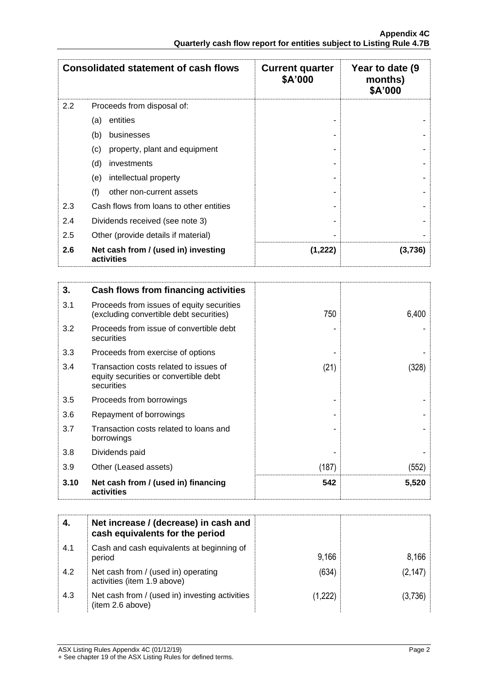|     | <b>Consolidated statement of cash flows</b>       | <b>Current quarter</b><br>\$A'000 | Year to date (9)<br>months)<br>\$A'000 |
|-----|---------------------------------------------------|-----------------------------------|----------------------------------------|
| 2.2 | Proceeds from disposal of:                        |                                   |                                        |
|     | entities<br>(a)                                   |                                   |                                        |
|     | (b)<br>businesses                                 |                                   |                                        |
|     | property, plant and equipment<br>(c)              |                                   |                                        |
|     | (d)<br>investments                                |                                   |                                        |
|     | intellectual property<br>(e)                      |                                   |                                        |
|     | (f)<br>other non-current assets                   |                                   |                                        |
| 2.3 | Cash flows from loans to other entities           |                                   |                                        |
| 2.4 | Dividends received (see note 3)                   |                                   |                                        |
| 2.5 | Other (provide details if material)               |                                   |                                        |
| 2.6 | Net cash from / (used in) investing<br>activities | (1, 222)                          | (3,736)                                |

| 3.   | Cash flows from financing activities                                                          |       |       |
|------|-----------------------------------------------------------------------------------------------|-------|-------|
| 3.1  | Proceeds from issues of equity securities<br>(excluding convertible debt securities)          | 750   | 6,400 |
| 3.2  | Proceeds from issue of convertible debt<br>securities                                         |       |       |
| 3.3  | Proceeds from exercise of options                                                             |       |       |
| 3.4  | Transaction costs related to issues of<br>equity securities or convertible debt<br>securities | (21)  | (328) |
| 3.5  | Proceeds from borrowings                                                                      |       |       |
| 3.6  | Repayment of borrowings                                                                       |       |       |
| 3.7  | Transaction costs related to loans and<br>borrowings                                          |       |       |
| 3.8  | Dividends paid                                                                                |       |       |
| 3.9  | Other (Leased assets)                                                                         | (187) | (552) |
| 3.10 | Net cash from / (used in) financing<br>activities                                             | 542   | 5,520 |

| 4.  | Net increase / (decrease) in cash and<br>cash equivalents for the period |         |          |
|-----|--------------------------------------------------------------------------|---------|----------|
| 4.1 | Cash and cash equivalents at beginning of<br>period                      | 9,166   | 8,166    |
| 4.2 | Net cash from / (used in) operating<br>activities (item 1.9 above)       | (634)   | (2, 147) |
| 4.3 | Net cash from / (used in) investing activities<br>(item 2.6 above)       | (1,222) | (3,736)  |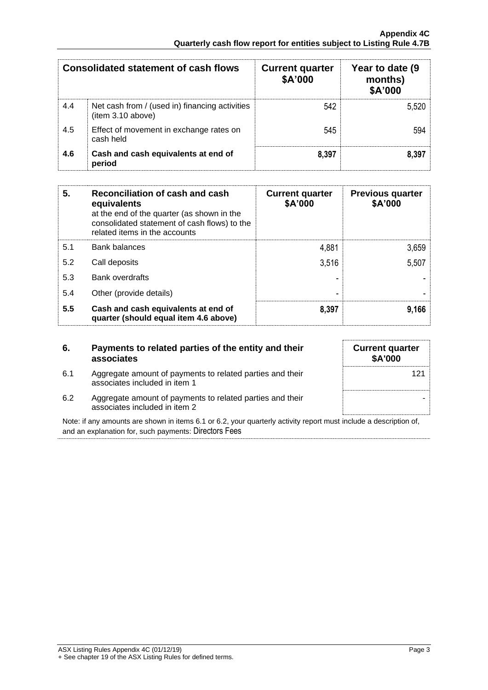|     | Consolidated statement of cash flows                               | <b>Current quarter</b><br>\$A'000 | Year to date (9)<br>months)<br>\$A'000 |
|-----|--------------------------------------------------------------------|-----------------------------------|----------------------------------------|
| 4.4 | Net cash from / (used in) financing activities<br>item 3.10 above) | 542                               | 5.520                                  |
| 4.5 | Effect of movement in exchange rates on<br>cash held               | 545                               | 594                                    |
| 4.6 | Cash and cash equivalents at end of<br>period                      | 8,397                             | 8.397                                  |

| 5.  | Reconciliation of cash and cash<br>equivalents<br>at the end of the quarter (as shown in the<br>consolidated statement of cash flows) to the<br>related items in the accounts | <b>Current quarter</b><br>\$A'000 | <b>Previous quarter</b><br>\$A'000 |
|-----|-------------------------------------------------------------------------------------------------------------------------------------------------------------------------------|-----------------------------------|------------------------------------|
| 5.1 | <b>Bank balances</b>                                                                                                                                                          | 4,881                             | 3,659                              |
| 5.2 | Call deposits                                                                                                                                                                 | 3,516                             | 5,507                              |
| 5.3 | <b>Bank overdrafts</b>                                                                                                                                                        |                                   |                                    |
| 5.4 | Other (provide details)                                                                                                                                                       |                                   |                                    |
| 5.5 | Cash and cash equivalents at end of<br>quarter (should equal item 4.6 above)                                                                                                  | 8,397                             | 9,166                              |

| 6.  | Payments to related parties of the entity and their<br>associates                                                                                                                                                                 |  |
|-----|-----------------------------------------------------------------------------------------------------------------------------------------------------------------------------------------------------------------------------------|--|
| 6.1 | Aggregate amount of payments to related parties and their<br>associates included in item 1                                                                                                                                        |  |
|     | $\mathbf{A}$ , and the contract of the contract of the contract of the contract of the contract of the contract of the contract of the contract of the contract of the contract of the contract of the contract of the contract o |  |

| <b>Current quarter</b><br>\$A'000 |
|-----------------------------------|
| 121                               |
|                                   |
|                                   |

6.2 Aggregate amount of payments to related parties and their associates included in item 2

Note: if any amounts are shown in items 6.1 or 6.2, your quarterly activity report must include a description of, and an explanation for, such payments: Directors Fees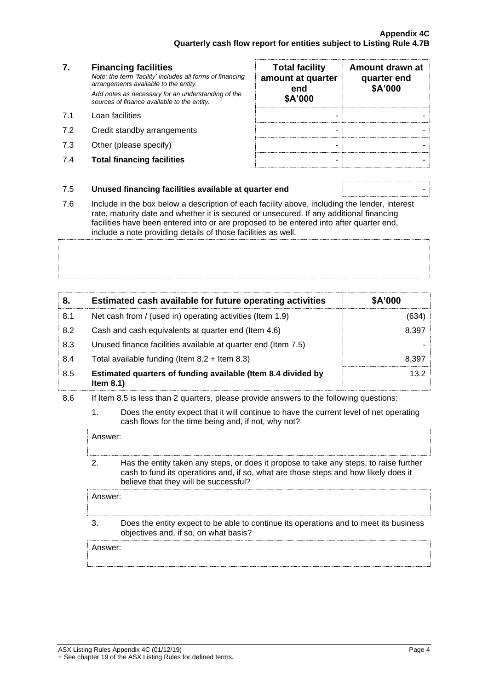## **7. Financing facilities** *Note: the term "facility' includes all forms of financing arrangements available to the entity. Add notes as necessary for an understanding of the sources of finance available to the entity.* 7.1 Loan facilities

- 7.2 Credit standby arrangements
- 7.3 Other (please specify)
- **7.4 Total financing facilities**

| <b>Total facility</b><br>amount at quarter<br>end<br>\$A'000 | Amount drawn at<br>quarter end<br>\$A'000 |
|--------------------------------------------------------------|-------------------------------------------|
|                                                              |                                           |
|                                                              |                                           |
|                                                              |                                           |
|                                                              |                                           |

## 7.5 **Unused financing facilities available at quarter end** -

7.6 Include in the box below a description of each facility above, including the lender, interest rate, maturity date and whether it is secured or unsecured. If any additional financing facilities have been entered into or are proposed to be entered into after quarter end, include a note providing details of those facilities as well.

| 8.  | Estimated cash available for future operating activities                     | \$A'000 |
|-----|------------------------------------------------------------------------------|---------|
| 8.1 | Net cash from / (used in) operating activities (Item 1.9)                    | (634)   |
| 8.2 | Cash and cash equivalents at quarter end (Item 4.6)                          | 8,397   |
| 8.3 | Unused finance facilities available at quarter end (Item 7.5)                |         |
| 8.4 | Total available funding (Item $8.2 +$ Item $8.3$ )                           | 8.397   |
| 8.5 | Estimated quarters of funding available (Item 8.4 divided by<br>Item $8.1$ ) | 13.2    |

- 8.6 If Item 8.5 is less than 2 quarters, please provide answers to the following questions:
	- 1. Does the entity expect that it will continue to have the current level of net operating cash flows for the time being and, if not, why not?

Answer: 2. Has the entity taken any steps, or does it propose to take any steps, to raise further cash to fund its operations and, if so, what are those steps and how likely does it believe that they will be successful? Answer: 3. Does the entity expect to be able to continue its operations and to meet its business

objectives and, if so, on what basis?

Answer: